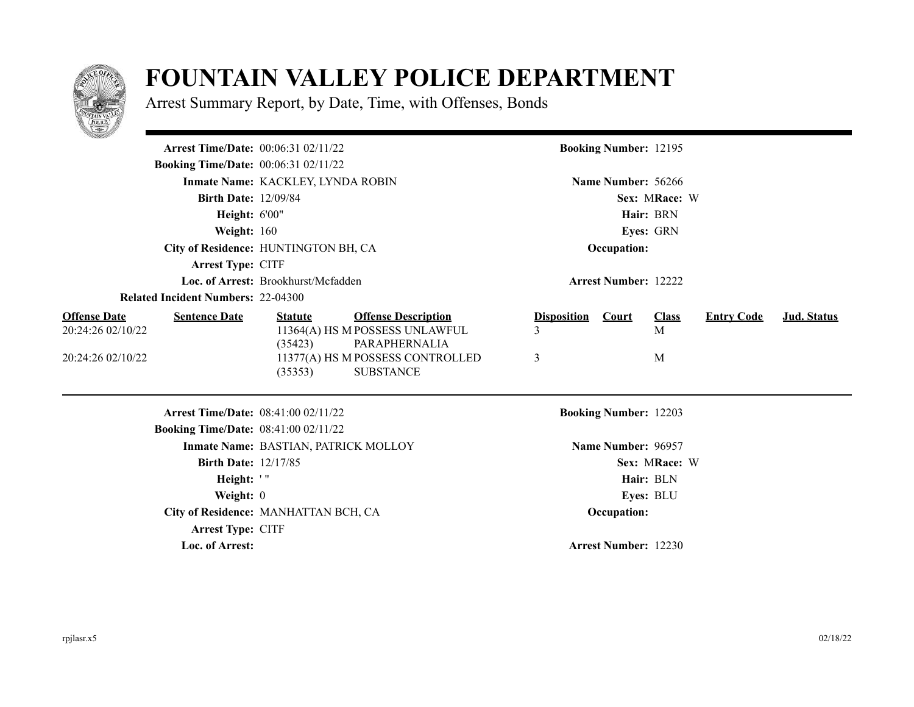

## **FOUNTAIN VALLEY POLICE DEPARTMENT**

Arrest Summary Report, by Date, Time, with Offenses, Bonds

| <u>San Sa</u>                                                                         |                                      |                                                                                                                                       |                              |                              |                        |                   |                    |
|---------------------------------------------------------------------------------------|--------------------------------------|---------------------------------------------------------------------------------------------------------------------------------------|------------------------------|------------------------------|------------------------|-------------------|--------------------|
| <b>Arrest Time/Date: 00:06:31 02/11/22</b>                                            |                                      |                                                                                                                                       |                              | <b>Booking Number: 12195</b> |                        |                   |                    |
| <b>Booking Time/Date:</b> 00:06:31 02/11/22                                           |                                      |                                                                                                                                       |                              |                              |                        |                   |                    |
|                                                                                       | Inmate Name: KACKLEY, LYNDA ROBIN    |                                                                                                                                       |                              | Name Number: 56266           |                        |                   |                    |
| <b>Birth Date: 12/09/84</b>                                                           |                                      |                                                                                                                                       |                              |                              |                        |                   |                    |
| <b>Height: 6'00"</b>                                                                  |                                      |                                                                                                                                       |                              |                              |                        |                   |                    |
| <b>Weight: 160</b>                                                                    |                                      |                                                                                                                                       | Eyes: GRN                    |                              |                        |                   |                    |
|                                                                                       | City of Residence: HUNTINGTON BH, CA |                                                                                                                                       | Occupation:                  |                              |                        |                   |                    |
| <b>Arrest Type: CITF</b>                                                              |                                      |                                                                                                                                       |                              |                              |                        |                   |                    |
|                                                                                       | Loc. of Arrest: Brookhurst/Mcfadden  |                                                                                                                                       |                              | <b>Arrest Number: 12222</b>  |                        |                   |                    |
| <b>Related Incident Numbers: 22-04300</b>                                             |                                      |                                                                                                                                       |                              |                              |                        |                   |                    |
| <b>Offense Date</b><br><b>Sentence Date</b><br>20:24:26 02/10/22<br>20:24:26 02/10/22 | <b>Statute</b><br>(35423)<br>(35353) | <b>Offense Description</b><br>11364(A) HS M POSSESS UNLAWFUL<br>PARAPHERNALIA<br>11377(A) HS M POSSESS CONTROLLED<br><b>SUBSTANCE</b> | <b>Disposition</b><br>3<br>3 | Court                        | <b>Class</b><br>M<br>M | <b>Entry Code</b> | <b>Jud. Status</b> |
| <b>Arrest Time/Date: 08:41:00 02/11/22</b>                                            |                                      |                                                                                                                                       |                              | <b>Booking Number: 12203</b> |                        |                   |                    |
| <b>Booking Time/Date: 08:41:00 02/11/22</b>                                           |                                      |                                                                                                                                       |                              |                              |                        |                   |                    |
|                                                                                       | Inmate Name: BASTIAN, PATRICK MOLLOY |                                                                                                                                       |                              | Name Number: 96957           |                        |                   |                    |
| <b>Birth Date: 12/17/85</b>                                                           |                                      |                                                                                                                                       |                              |                              | Sex: MRace: W          |                   |                    |
| Height: '"                                                                            |                                      |                                                                                                                                       |                              |                              | Hair: BLN              |                   |                    |
| Weight: $0$                                                                           |                                      |                                                                                                                                       |                              |                              | Eyes: BLU              |                   |                    |
|                                                                                       | City of Residence: MANHATTAN BCH, CA |                                                                                                                                       |                              | Occupation:                  |                        |                   |                    |
| <b>Arrest Type: CITF</b>                                                              |                                      |                                                                                                                                       |                              |                              |                        |                   |                    |
| Loc. of Arrest:                                                                       |                                      |                                                                                                                                       |                              | <b>Arrest Number: 12230</b>  |                        |                   |                    |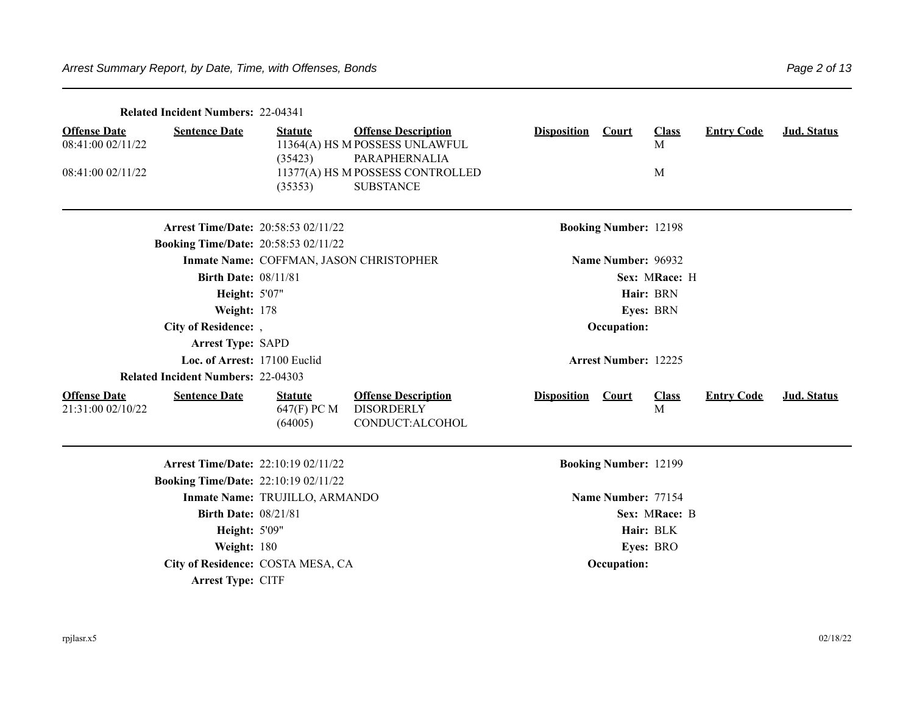|                                                               | <b>Related Incident Numbers: 22-04341</b>   |                                          |                                                                                                                   |                    |                              |                        |                   |             |
|---------------------------------------------------------------|---------------------------------------------|------------------------------------------|-------------------------------------------------------------------------------------------------------------------|--------------------|------------------------------|------------------------|-------------------|-------------|
| <b>Offense Date</b><br>08:41:00 02/11/22<br>08:41:00 02/11/22 | <b>Sentence Date</b>                        | <b>Statute</b><br>(35423)                | <b>Offense Description</b><br>11364(A) HS M POSSESS UNLAWFUL<br>PARAPHERNALIA<br>11377(A) HS M POSSESS CONTROLLED | <b>Disposition</b> | <b>Court</b>                 | <b>Class</b><br>M<br>M | <b>Entry Code</b> | Jud. Status |
|                                                               | <b>Arrest Time/Date: 20:58:53 02/11/22</b>  | (35353)                                  | <b>SUBSTANCE</b>                                                                                                  |                    | <b>Booking Number: 12198</b> |                        |                   |             |
|                                                               | <b>Booking Time/Date: 20:58:53 02/11/22</b> |                                          |                                                                                                                   |                    |                              |                        |                   |             |
|                                                               |                                             |                                          | Inmate Name: COFFMAN, JASON CHRISTOPHER                                                                           |                    | Name Number: 96932           |                        |                   |             |
|                                                               | <b>Birth Date: 08/11/81</b>                 |                                          |                                                                                                                   |                    |                              | Sex: MRace: H          |                   |             |
|                                                               | <b>Height: 5'07"</b>                        |                                          |                                                                                                                   |                    |                              | Hair: BRN              |                   |             |
|                                                               | <b>Weight: 178</b>                          |                                          |                                                                                                                   |                    |                              | <b>Eyes: BRN</b>       |                   |             |
|                                                               | City of Residence: ,                        |                                          |                                                                                                                   |                    | Occupation:                  |                        |                   |             |
|                                                               | <b>Arrest Type: SAPD</b>                    |                                          |                                                                                                                   |                    |                              |                        |                   |             |
|                                                               | Loc. of Arrest: 17100 Euclid                |                                          |                                                                                                                   |                    | <b>Arrest Number: 12225</b>  |                        |                   |             |
|                                                               | <b>Related Incident Numbers: 22-04303</b>   |                                          |                                                                                                                   |                    |                              |                        |                   |             |
| <b>Offense Date</b><br>21:31:00 02/10/22                      | <b>Sentence Date</b>                        | <b>Statute</b><br>647(F) PC M<br>(64005) | <b>Offense Description</b><br><b>DISORDERLY</b><br>CONDUCT:ALCOHOL                                                | <b>Disposition</b> | <b>Court</b>                 | <b>Class</b><br>M      | <b>Entry Code</b> | Jud. Status |
|                                                               |                                             |                                          |                                                                                                                   |                    |                              |                        |                   |             |

**Arrest Time/Date:** 22:10:19 02/11/22 **Booking Number:** 12199 **Booking Time/Date:** 22:10:19 02/11/22 **Inmate Name: TRUJILLO, ARMANDO Name Number: 77154 Birth Date:**  $08/21/81$  **Sex:** MRace: B **Height:** 5'09" **Hair:** BLK **Weight:** 180 **Eyes:** BRO **City of Residence:** COSTA MESA, CA **Occupation:** *Occupation***: Arrest Type: CITF**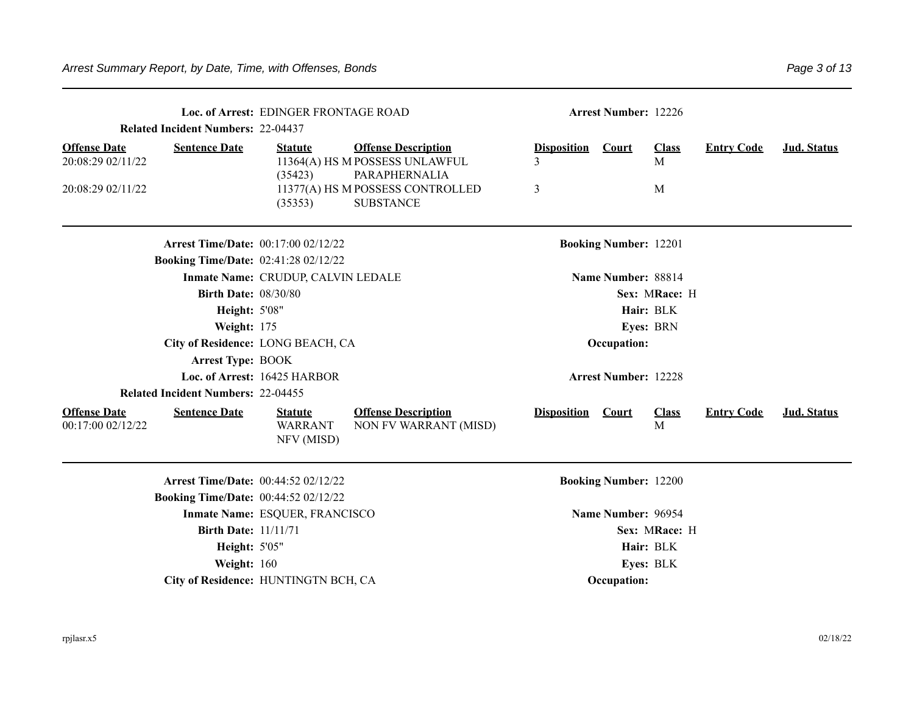|                                          | <b>Related Incident Numbers: 22-04437</b> | Loc. of Arrest: EDINGER FRONTAGE ROAD          |                                                                               |                    | <b>Arrest Number: 12226</b>  |                   |                   |             |
|------------------------------------------|-------------------------------------------|------------------------------------------------|-------------------------------------------------------------------------------|--------------------|------------------------------|-------------------|-------------------|-------------|
| <b>Offense Date</b><br>20:08:29 02/11/22 | <b>Sentence Date</b>                      | <b>Statute</b><br>(35423)                      | <b>Offense Description</b><br>11364(A) HS M POSSESS UNLAWFUL<br>PARAPHERNALIA | <b>Disposition</b> | <b>Court</b>                 | <b>Class</b><br>M | <b>Entry Code</b> | Jud. Status |
| 20:08:29 02/11/22                        |                                           | (35353)                                        | 11377(A) HS M POSSESS CONTROLLED<br><b>SUBSTANCE</b>                          | 3                  |                              | M                 |                   |             |
|                                          |                                           | <b>Arrest Time/Date: 00:17:00 02/12/22</b>     |                                                                               |                    | <b>Booking Number: 12201</b> |                   |                   |             |
|                                          |                                           | <b>Booking Time/Date: 02:41:28 02/12/22</b>    |                                                                               |                    |                              |                   |                   |             |
|                                          |                                           | Inmate Name: CRUDUP, CALVIN LEDALE             |                                                                               |                    | Name Number: 88814           |                   |                   |             |
|                                          | <b>Birth Date: 08/30/80</b>               |                                                |                                                                               |                    |                              | Sex: MRace: H     |                   |             |
|                                          | <b>Height: 5'08"</b>                      |                                                |                                                                               |                    |                              | Hair: BLK         |                   |             |
|                                          | Weight: 175                               |                                                |                                                                               |                    |                              | Eyes: BRN         |                   |             |
|                                          |                                           | City of Residence: LONG BEACH, CA              |                                                                               |                    | Occupation:                  |                   |                   |             |
|                                          | <b>Arrest Type: BOOK</b>                  |                                                |                                                                               |                    |                              |                   |                   |             |
|                                          |                                           | Loc. of Arrest: 16425 HARBOR                   |                                                                               |                    | <b>Arrest Number: 12228</b>  |                   |                   |             |
|                                          | <b>Related Incident Numbers: 22-04455</b> |                                                |                                                                               |                    |                              |                   |                   |             |
| <b>Offense Date</b><br>00:17:00 02/12/22 | <b>Sentence Date</b>                      | <b>Statute</b><br><b>WARRANT</b><br>NFV (MISD) | <b>Offense Description</b><br>NON FV WARRANT (MISD)                           | <b>Disposition</b> | <b>Court</b>                 | <b>Class</b><br>M | <b>Entry Code</b> | Jud. Status |
|                                          |                                           | <b>Arrest Time/Date: 00:44:52 02/12/22</b>     |                                                                               |                    | <b>Booking Number: 12200</b> |                   |                   |             |
|                                          |                                           | <b>Booking Time/Date: 00:44:52 02/12/22</b>    |                                                                               |                    |                              |                   |                   |             |
|                                          |                                           | Inmate Name: ESQUER, FRANCISCO                 |                                                                               |                    | Name Number: 96954           |                   |                   |             |
|                                          | <b>Birth Date: 11/11/71</b>               |                                                |                                                                               |                    |                              | Sex: MRace: H     |                   |             |
|                                          | <b>Height: 5'05"</b>                      |                                                |                                                                               |                    |                              | Hair: BLK         |                   |             |
|                                          | Weight: 160                               |                                                |                                                                               |                    |                              | Eyes: BLK         |                   |             |
|                                          |                                           | City of Residence: HUNTINGTN BCH, CA           |                                                                               |                    | Occupation:                  |                   |                   |             |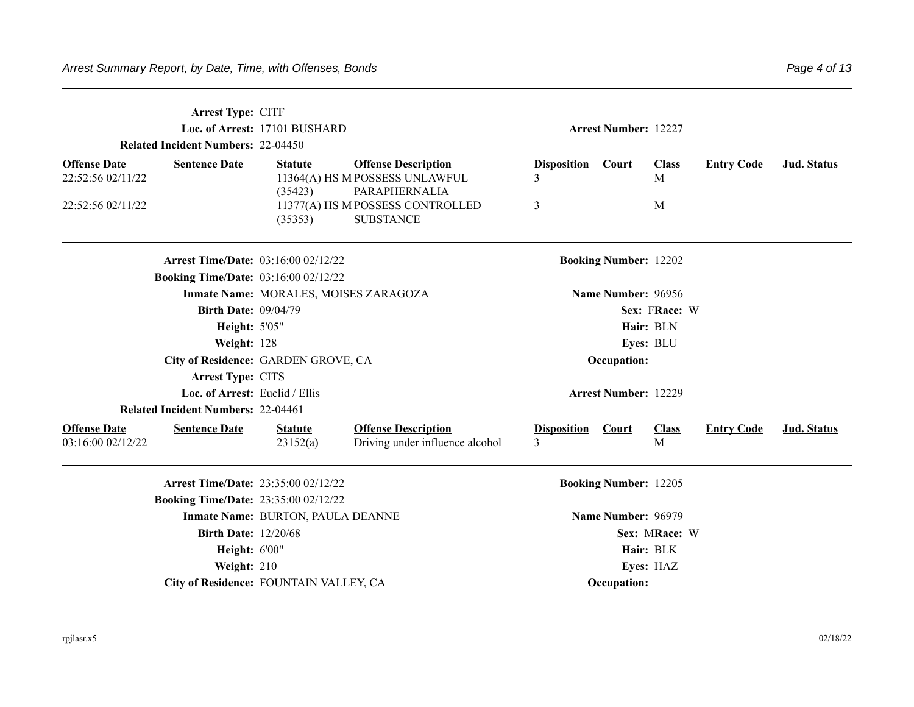|                                          | Arrest Type: CITF<br>Loc. of Arrest: 17101 BUSHARD<br><b>Related Incident Numbers: 22-04450</b> |                                       |                                                                       |                                      |                              | <b>Arrest Number: 12227</b> |                   |                    |  |  |
|------------------------------------------|-------------------------------------------------------------------------------------------------|---------------------------------------|-----------------------------------------------------------------------|--------------------------------------|------------------------------|-----------------------------|-------------------|--------------------|--|--|
| <b>Offense Date</b><br>22:52:56 02/11/22 | <b>Sentence Date</b>                                                                            | <b>Statute</b>                        | <b>Offense Description</b><br>11364(A) HS M POSSESS UNLAWFUL          | <b>Disposition</b>                   | Court                        | <b>Class</b><br>M           | <b>Entry Code</b> | Jud. Status        |  |  |
| 22:52:56 02/11/22                        |                                                                                                 | (35423)<br>(35353)                    | PARAPHERNALIA<br>11377(A) HS M POSSESS CONTROLLED<br><b>SUBSTANCE</b> | 3                                    |                              | M                           |                   |                    |  |  |
|                                          | <b>Arrest Time/Date: 03:16:00 02/12/22</b>                                                      |                                       |                                                                       |                                      | <b>Booking Number: 12202</b> |                             |                   |                    |  |  |
|                                          | <b>Booking Time/Date: 03:16:00 02/12/22</b>                                                     |                                       |                                                                       |                                      |                              |                             |                   |                    |  |  |
|                                          |                                                                                                 | Inmate Name: MORALES, MOISES ZARAGOZA |                                                                       |                                      | Name Number: 96956           |                             |                   |                    |  |  |
|                                          | <b>Birth Date: 09/04/79</b>                                                                     |                                       |                                                                       |                                      |                              | Sex: FRace: W               |                   |                    |  |  |
|                                          | Height: 5'05"                                                                                   |                                       |                                                                       |                                      |                              | Hair: BLN                   |                   |                    |  |  |
|                                          | Weight: 128                                                                                     |                                       |                                                                       |                                      |                              | Eyes: BLU                   |                   |                    |  |  |
|                                          | City of Residence: GARDEN GROVE, CA                                                             |                                       |                                                                       |                                      | Occupation:                  |                             |                   |                    |  |  |
|                                          | Arrest Type: CITS                                                                               |                                       |                                                                       |                                      |                              |                             |                   |                    |  |  |
|                                          | Loc. of Arrest: Euclid / Ellis                                                                  |                                       |                                                                       |                                      | <b>Arrest Number: 12229</b>  |                             |                   |                    |  |  |
|                                          | <b>Related Incident Numbers: 22-04461</b>                                                       |                                       |                                                                       |                                      |                              |                             |                   |                    |  |  |
| <b>Offense Date</b><br>03:16:00 02/12/22 | <b>Sentence Date</b>                                                                            | <b>Statute</b><br>23152(a)            | <b>Offense Description</b><br>Driving under influence alcohol         | <b>Disposition</b><br>$\overline{3}$ | <b>Court</b>                 | <b>Class</b><br>M           | <b>Entry Code</b> | <b>Jud. Status</b> |  |  |
|                                          | Arrest Time/Date: 23:35:00 02/12/22                                                             |                                       |                                                                       |                                      | <b>Booking Number: 12205</b> |                             |                   |                    |  |  |
|                                          | <b>Booking Time/Date: 23:35:00 02/12/22</b>                                                     |                                       |                                                                       |                                      |                              |                             |                   |                    |  |  |
|                                          |                                                                                                 | Inmate Name: BURTON, PAULA DEANNE     |                                                                       |                                      | Name Number: 96979           |                             |                   |                    |  |  |
|                                          | <b>Birth Date: 12/20/68</b>                                                                     |                                       |                                                                       |                                      |                              | Sex: MRace: W               |                   |                    |  |  |
|                                          | Height: 6'00"                                                                                   |                                       |                                                                       |                                      |                              | Hair: BLK                   |                   |                    |  |  |
|                                          | Weight: 210                                                                                     |                                       |                                                                       |                                      |                              | Eyes: HAZ                   |                   |                    |  |  |
|                                          | City of Residence: FOUNTAIN VALLEY, CA                                                          |                                       |                                                                       |                                      | Occupation:                  |                             |                   |                    |  |  |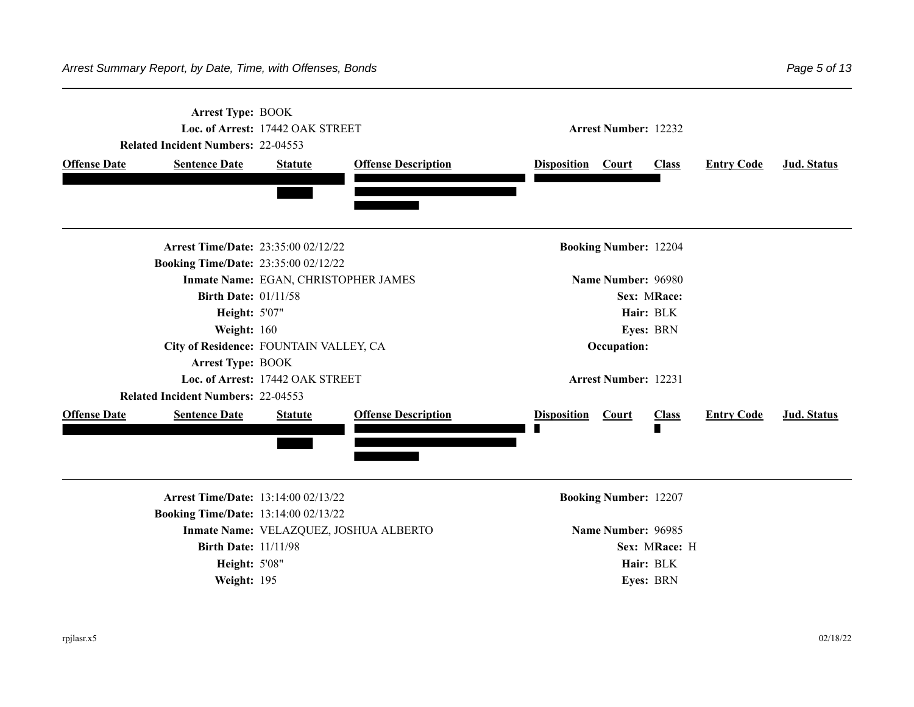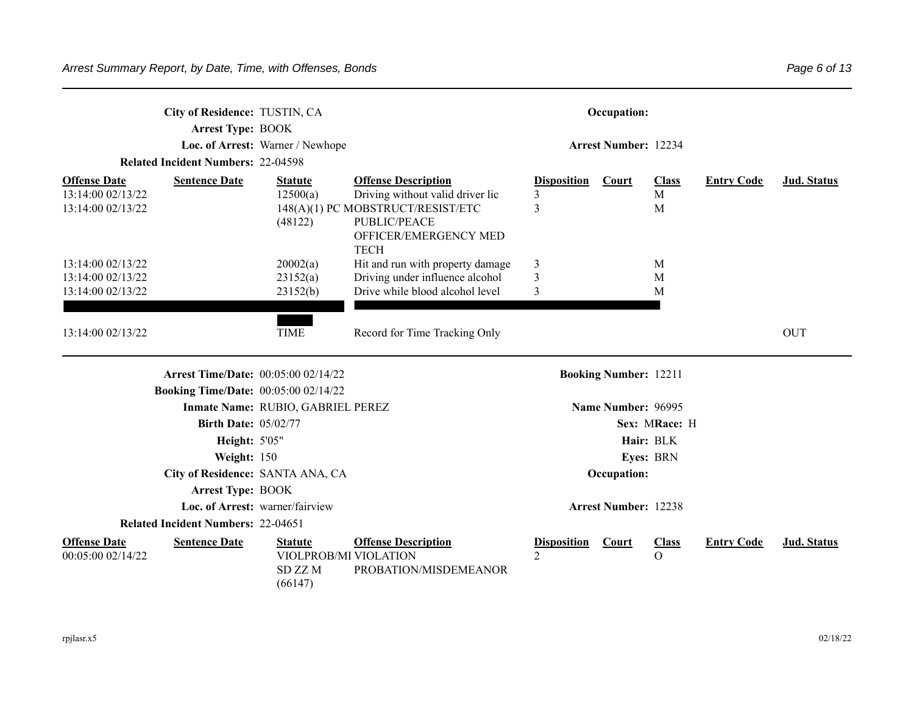|                                                               | City of Residence: TUSTIN, CA<br><b>Arrest Type: BOOK</b><br><b>Related Incident Numbers: 22-04598</b>                                                                     | Loc. of Arrest: Warner / Newhope                             |                                                                                                                                                             |                                      | Occupation:<br><b>Arrest Number: 12234</b> |                                         |                   |             |
|---------------------------------------------------------------|----------------------------------------------------------------------------------------------------------------------------------------------------------------------------|--------------------------------------------------------------|-------------------------------------------------------------------------------------------------------------------------------------------------------------|--------------------------------------|--------------------------------------------|-----------------------------------------|-------------------|-------------|
| <b>Offense Date</b><br>13:14:00 02/13/22<br>13:14:00 02/13/22 | <b>Sentence Date</b>                                                                                                                                                       | <b>Statute</b><br>12500(a)<br>(48122)                        | <b>Offense Description</b><br>Driving without valid driver lic<br>148(A)(1) PC MOBSTRUCT/RESIST/ETC<br>PUBLIC/PEACE<br>OFFICER/EMERGENCY MED<br><b>TECH</b> | <b>Disposition</b><br>3<br>3         | Court                                      | <b>Class</b><br>M<br>M                  | <b>Entry Code</b> | Jud. Status |
| 13:14:00 02/13/22<br>13:14:00 02/13/22<br>13:14:00 02/13/22   |                                                                                                                                                                            | 20002(a)<br>23152(a)<br>23152(b)                             | Hit and run with property damage<br>Driving under influence alcohol<br>Drive while blood alcohol level                                                      | 3<br>$\mathfrak{Z}$<br>3             |                                            | M<br>M<br>M                             |                   |             |
| 13:14:00 02/13/22                                             |                                                                                                                                                                            | <b>TIME</b>                                                  | Record for Time Tracking Only                                                                                                                               |                                      |                                            |                                         |                   | <b>OUT</b>  |
|                                                               | <b>Arrest Time/Date: 00:05:00 02/14/22</b>                                                                                                                                 |                                                              |                                                                                                                                                             |                                      | <b>Booking Number: 12211</b>               |                                         |                   |             |
|                                                               | <b>Booking Time/Date:</b> 00:05:00 02/14/22<br><b>Birth Date: 05/02/77</b><br>Height: 5'05"<br>Weight: 150<br>City of Residence: SANTA ANA, CA<br><b>Arrest Type: BOOK</b> | Inmate Name: RUBIO, GABRIEL PEREZ                            |                                                                                                                                                             |                                      | Name Number: 96995<br>Occupation:          | Sex: MRace: H<br>Hair: BLK<br>Eyes: BRN |                   |             |
|                                                               | <b>Related Incident Numbers: 22-04651</b>                                                                                                                                  | Loc. of Arrest: warner/fairview                              |                                                                                                                                                             |                                      | <b>Arrest Number: 12238</b>                |                                         |                   |             |
| <b>Offense Date</b><br>00:05:00 02/14/22                      | <b>Sentence Date</b>                                                                                                                                                       | <b>Statute</b><br>VIOLPROB/MI VIOLATION<br>SD ZZM<br>(66147) | <b>Offense Description</b><br>PROBATION/MISDEMEANOR                                                                                                         | <b>Disposition</b><br>$\overline{2}$ | <b>Court</b>                               | <b>Class</b><br>$\Omega$                | <b>Entry Code</b> | Jud. Status |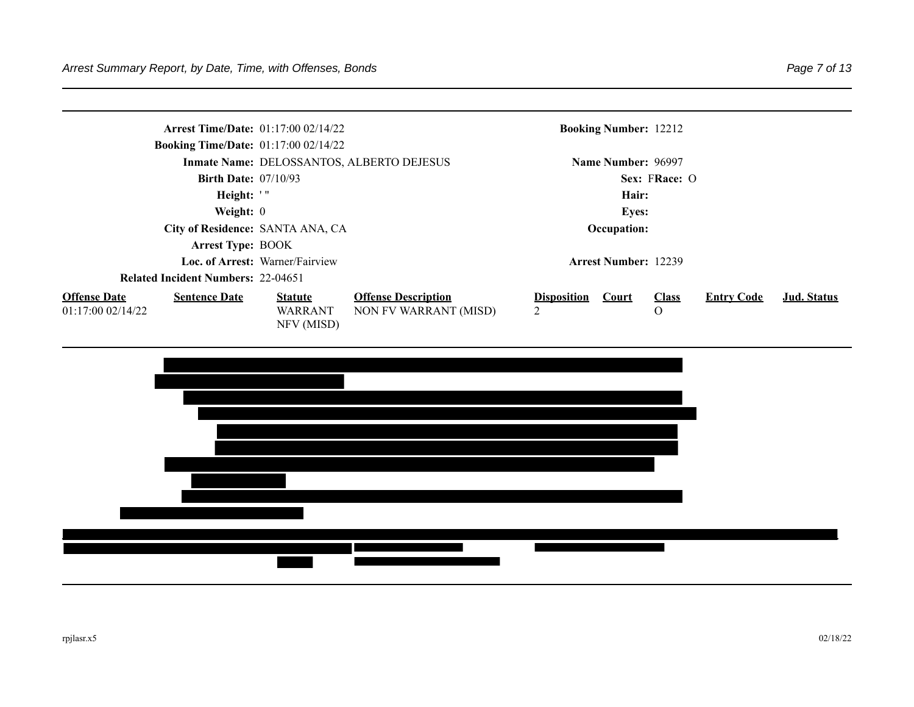| <b>Booking Time/Date:</b> 01:17:00 02/14/22                     | <b>Arrest Time/Date:</b> $01:17:0002/14/22$ |                                                     |                         | <b>Booking Number: 12212</b> |                               |                   |             |
|-----------------------------------------------------------------|---------------------------------------------|-----------------------------------------------------|-------------------------|------------------------------|-------------------------------|-------------------|-------------|
|                                                                 |                                             | Inmate Name: DELOSSANTOS, ALBERTO DEJESUS           |                         | Name Number: 96997           |                               |                   |             |
| <b>Birth Date: 07/10/93</b>                                     |                                             |                                                     |                         |                              | Sex: FRace: O                 |                   |             |
| Height: '"                                                      |                                             |                                                     |                         | Hair:                        |                               |                   |             |
| Weight: $0$                                                     |                                             |                                                     |                         | <b>Eyes:</b>                 |                               |                   |             |
|                                                                 | City of Residence: SANTA ANA, CA            |                                                     |                         | Occupation:                  |                               |                   |             |
| <b>Arrest Type: BOOK</b>                                        |                                             |                                                     |                         |                              |                               |                   |             |
|                                                                 | Loc. of Arrest: Warner/Fairview             |                                                     |                         | <b>Arrest Number: 12239</b>  |                               |                   |             |
| <b>Related Incident Numbers: 22-04651</b>                       |                                             |                                                     |                         |                              |                               |                   |             |
| <b>Offense Date</b><br><b>Sentence Date</b><br>01:17:0002/14/22 | <b>Statute</b><br>WARRANT<br>NFV (MISD)     | <b>Offense Description</b><br>NON FV WARRANT (MISD) | <b>Disposition</b><br>2 | <b>Court</b>                 | <b>Class</b><br>$\mathcal{O}$ | <b>Entry Code</b> | Jud. Status |

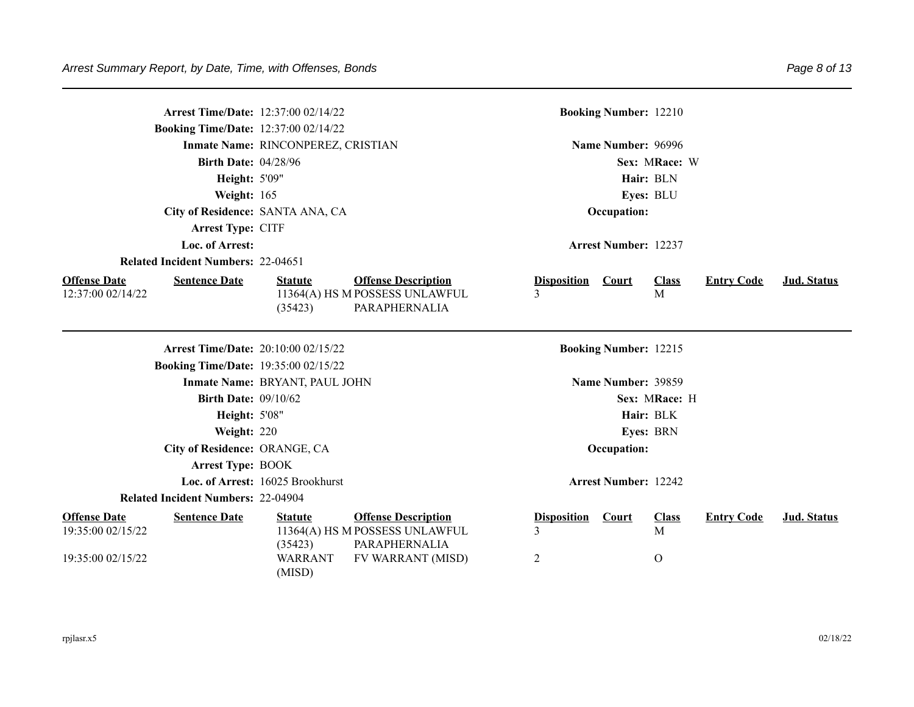|                                                               | Arrest Time/Date: 12:37:00 02/14/22<br><b>Booking Time/Date: 12:37:00 02/14/22</b> |                                                       |                                                                                                    |                              | <b>Booking Number: 12210</b> |                                  |                   |                    |
|---------------------------------------------------------------|------------------------------------------------------------------------------------|-------------------------------------------------------|----------------------------------------------------------------------------------------------------|------------------------------|------------------------------|----------------------------------|-------------------|--------------------|
|                                                               |                                                                                    | Inmate Name: RINCONPEREZ, CRISTIAN                    |                                                                                                    |                              | Name Number: 96996           |                                  |                   |                    |
|                                                               | <b>Birth Date: 04/28/96</b>                                                        |                                                       |                                                                                                    |                              |                              | Sex: MRace: W                    |                   |                    |
|                                                               | Height: 5'09"                                                                      |                                                       |                                                                                                    |                              |                              | Hair: BLN                        |                   |                    |
|                                                               | Weight: 165                                                                        |                                                       |                                                                                                    |                              |                              | Eyes: BLU                        |                   |                    |
|                                                               | City of Residence: SANTA ANA, CA                                                   |                                                       |                                                                                                    |                              | Occupation:                  |                                  |                   |                    |
|                                                               | Arrest Type: CITF                                                                  |                                                       |                                                                                                    |                              |                              |                                  |                   |                    |
|                                                               | Loc. of Arrest:                                                                    |                                                       |                                                                                                    |                              | <b>Arrest Number: 12237</b>  |                                  |                   |                    |
|                                                               | <b>Related Incident Numbers: 22-04651</b>                                          |                                                       |                                                                                                    |                              |                              |                                  |                   |                    |
| <b>Offense Date</b><br>12:37:00 02/14/22                      | <b>Sentence Date</b>                                                               | <b>Statute</b><br>(35423)                             | <b>Offense Description</b><br>11364(A) HS M POSSESS UNLAWFUL<br>PARAPHERNALIA                      | <b>Disposition</b><br>3      | Court                        | <b>Class</b><br>$\mathbf{M}$     | <b>Entry Code</b> | Jud. Status        |
|                                                               | <b>Arrest Time/Date: 20:10:00 02/15/22</b>                                         |                                                       |                                                                                                    |                              | <b>Booking Number: 12215</b> |                                  |                   |                    |
|                                                               | <b>Booking Time/Date: 19:35:00 02/15/22</b>                                        |                                                       |                                                                                                    |                              |                              |                                  |                   |                    |
|                                                               |                                                                                    | Inmate Name: BRYANT, PAUL JOHN                        |                                                                                                    |                              | Name Number: 39859           |                                  |                   |                    |
|                                                               | <b>Birth Date: 09/10/62</b>                                                        |                                                       |                                                                                                    |                              |                              | Sex: MRace: H                    |                   |                    |
|                                                               | <b>Height: 5'08"</b>                                                               |                                                       |                                                                                                    |                              |                              | Hair: BLK                        |                   |                    |
|                                                               | Weight: 220                                                                        |                                                       |                                                                                                    |                              |                              | Eyes: BRN                        |                   |                    |
|                                                               | City of Residence: ORANGE, CA                                                      |                                                       |                                                                                                    |                              | Occupation:                  |                                  |                   |                    |
|                                                               | <b>Arrest Type: BOOK</b>                                                           |                                                       |                                                                                                    |                              |                              |                                  |                   |                    |
|                                                               |                                                                                    | Loc. of Arrest: 16025 Brookhurst                      |                                                                                                    |                              | <b>Arrest Number: 12242</b>  |                                  |                   |                    |
|                                                               | <b>Related Incident Numbers: 22-04904</b>                                          |                                                       |                                                                                                    |                              |                              |                                  |                   |                    |
| <b>Offense Date</b><br>19:35:00 02/15/22<br>19:35:00 02/15/22 | <b>Sentence Date</b>                                                               | <b>Statute</b><br>(35423)<br><b>WARRANT</b><br>(MISD) | <b>Offense Description</b><br>11364(A) HS M POSSESS UNLAWFUL<br>PARAPHERNALIA<br>FV WARRANT (MISD) | <b>Disposition</b><br>3<br>2 | Court                        | <b>Class</b><br>M<br>$\mathbf O$ | <b>Entry Code</b> | <b>Jud. Status</b> |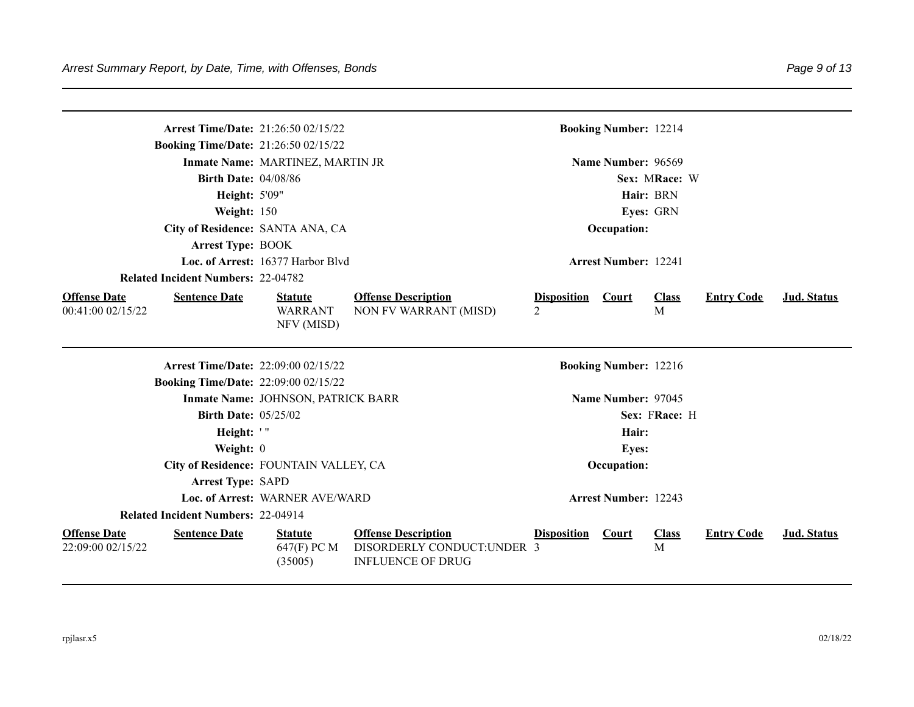|                                          |                                           | <b>Arrest Time/Date: 21:26:50 02/15/22</b>     |                                                                                      | <b>Booking Number: 12214</b>         |                    |              |                   |             |
|------------------------------------------|-------------------------------------------|------------------------------------------------|--------------------------------------------------------------------------------------|--------------------------------------|--------------------|--------------|-------------------|-------------|
|                                          |                                           | <b>Booking Time/Date: 21:26:50 02/15/22</b>    |                                                                                      |                                      |                    |              |                   |             |
|                                          |                                           | Inmate Name: MARTINEZ, MARTIN JR               |                                                                                      |                                      | Name Number: 96569 |              |                   |             |
|                                          | <b>Birth Date: 04/08/86</b>               |                                                |                                                                                      |                                      | Sex: MRace: W      |              |                   |             |
|                                          | <b>Height: 5'09"</b>                      |                                                |                                                                                      |                                      | Hair: BRN          |              |                   |             |
|                                          | Weight: 150                               |                                                |                                                                                      |                                      | Eyes: GRN          |              |                   |             |
|                                          |                                           | City of Residence: SANTA ANA, CA               |                                                                                      |                                      | Occupation:        |              |                   |             |
|                                          | <b>Arrest Type: BOOK</b>                  |                                                |                                                                                      |                                      |                    |              |                   |             |
|                                          |                                           | Loc. of Arrest: 16377 Harbor Blvd              |                                                                                      | <b>Arrest Number: 12241</b>          |                    |              |                   |             |
|                                          | <b>Related Incident Numbers: 22-04782</b> |                                                |                                                                                      |                                      |                    |              |                   |             |
| <b>Offense Date</b><br>00:41:00 02/15/22 | <b>Sentence Date</b>                      | <b>Statute</b><br><b>WARRANT</b><br>NFV (MISD) | <b>Offense Description</b><br>NON FV WARRANT (MISD)                                  | <b>Disposition</b><br>$\overline{2}$ | <b>Court</b><br>M  | <b>Class</b> | <b>Entry Code</b> | Jud. Status |
|                                          |                                           | <b>Arrest Time/Date: 22:09:00 02/15/22</b>     |                                                                                      | <b>Booking Number: 12216</b>         |                    |              |                   |             |
|                                          |                                           | <b>Booking Time/Date: 22:09:00 02/15/22</b>    |                                                                                      |                                      |                    |              |                   |             |
|                                          |                                           | Inmate Name: JOHNSON, PATRICK BARR             |                                                                                      |                                      | Name Number: 97045 |              |                   |             |
|                                          | <b>Birth Date: 05/25/02</b>               |                                                |                                                                                      |                                      | Sex: FRace: H      |              |                   |             |
|                                          | Height: '"                                |                                                |                                                                                      |                                      | Hair:              |              |                   |             |
|                                          | Weight: 0                                 |                                                |                                                                                      |                                      | <b>Eyes:</b>       |              |                   |             |
|                                          |                                           | City of Residence: FOUNTAIN VALLEY, CA         |                                                                                      |                                      | Occupation:        |              |                   |             |
|                                          | <b>Arrest Type: SAPD</b>                  |                                                |                                                                                      |                                      |                    |              |                   |             |
|                                          |                                           | Loc. of Arrest: WARNER AVE/WARD                |                                                                                      | <b>Arrest Number: 12243</b>          |                    |              |                   |             |
|                                          | <b>Related Incident Numbers: 22-04914</b> |                                                |                                                                                      |                                      |                    |              |                   |             |
| <b>Offense Date</b><br>22:09:00 02/15/22 | <b>Sentence Date</b>                      | <b>Statute</b><br>647(F) PC M<br>(35005)       | <b>Offense Description</b><br>DISORDERLY CONDUCT:UNDER 3<br><b>INFLUENCE OF DRUG</b> | <b>Disposition</b>                   | <b>Court</b><br>M  | <b>Class</b> | <b>Entry Code</b> | Jud. Status |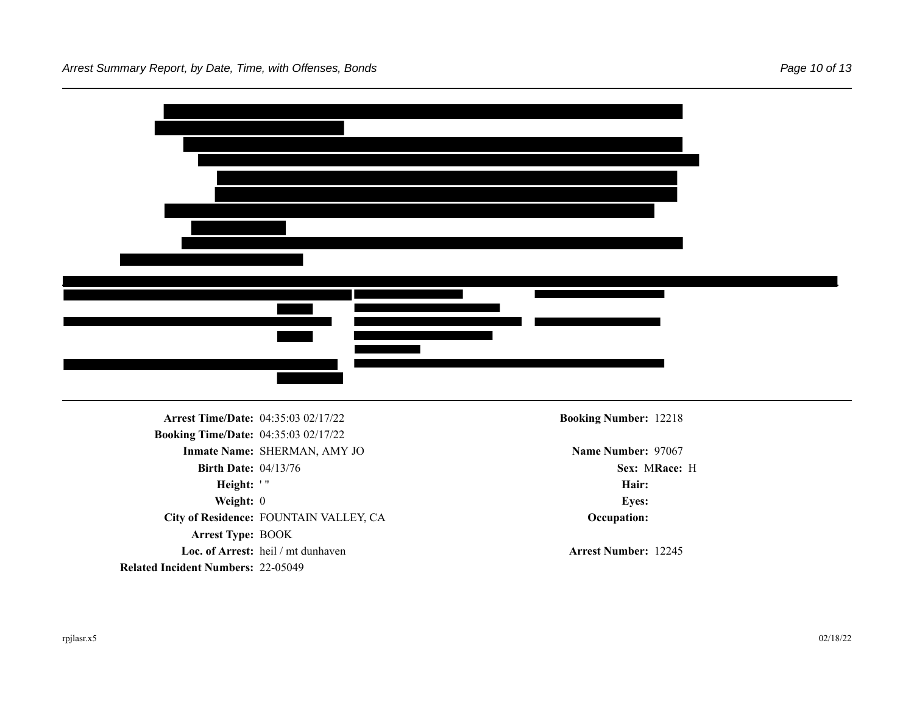| Arrest Time/Date: 04:35:03 02/17/22         |                                        | <b>Booking Number: 12218</b> |  |
|---------------------------------------------|----------------------------------------|------------------------------|--|
| <b>Booking Time/Date: 04:35:03 02/17/22</b> |                                        |                              |  |
|                                             | Inmate Name: SHERMAN, AMY JO           | Name Number: 97067           |  |
| <b>Birth Date: 04/13/76</b>                 |                                        | Sex: MRace: H                |  |
|                                             |                                        | Hair:                        |  |
| Height: '"                                  |                                        |                              |  |
| Weight: 0                                   |                                        | <b>Eyes:</b>                 |  |
|                                             | City of Residence: FOUNTAIN VALLEY, CA | Occupation:                  |  |
| Arrest Type: BOOK                           |                                        |                              |  |

**Related Incident Numbers:** 22-05049

**Loc. of Arrest:** heil / mt dunhaven **Arrest Number: 12245**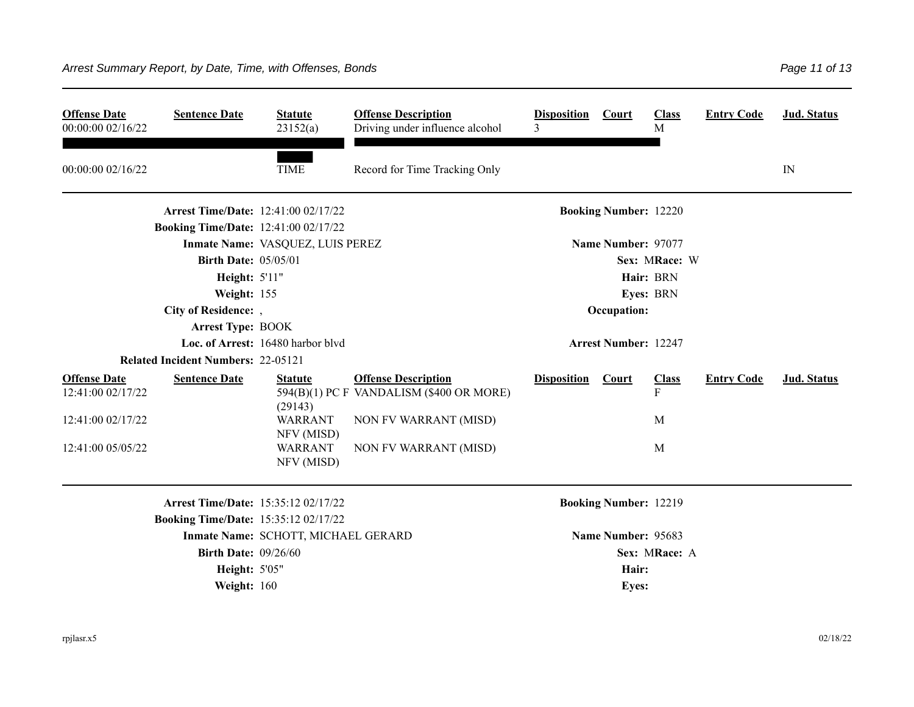| <b>Offense Date</b><br>00:00:00 02/16/22 | <b>Sentence Date</b>                        | <b>Statute</b><br>23152(a)          | <b>Offense Description</b><br>Driving under influence alcohol          | <b>Disposition</b><br>3 | Court                        | <b>Class</b><br>M | <b>Entry Code</b> | <b>Jud. Status</b> |
|------------------------------------------|---------------------------------------------|-------------------------------------|------------------------------------------------------------------------|-------------------------|------------------------------|-------------------|-------------------|--------------------|
| 00:00:00 02/16/22                        |                                             | <b>TIME</b>                         | Record for Time Tracking Only                                          |                         |                              |                   |                   | IN                 |
|                                          | <b>Arrest Time/Date: 12:41:00 02/17/22</b>  |                                     |                                                                        |                         | <b>Booking Number: 12220</b> |                   |                   |                    |
|                                          | <b>Booking Time/Date: 12:41:00 02/17/22</b> |                                     |                                                                        |                         |                              |                   |                   |                    |
|                                          |                                             | Inmate Name: VASQUEZ, LUIS PEREZ    |                                                                        |                         | Name Number: 97077           |                   |                   |                    |
|                                          | <b>Birth Date: 05/05/01</b>                 |                                     |                                                                        |                         |                              | Sex: MRace: W     |                   |                    |
|                                          | Height: 5'11"                               |                                     |                                                                        |                         |                              | Hair: BRN         |                   |                    |
|                                          | Weight: 155                                 |                                     |                                                                        |                         |                              | Eyes: BRN         |                   |                    |
|                                          | City of Residence: ,                        |                                     |                                                                        |                         | Occupation:                  |                   |                   |                    |
|                                          | <b>Arrest Type: BOOK</b>                    |                                     |                                                                        |                         |                              |                   |                   |                    |
|                                          |                                             | Loc. of Arrest: 16480 harbor blvd   |                                                                        |                         | <b>Arrest Number: 12247</b>  |                   |                   |                    |
|                                          | <b>Related Incident Numbers: 22-05121</b>   |                                     |                                                                        |                         |                              |                   |                   |                    |
| <b>Offense Date</b><br>12:41:00 02/17/22 | <b>Sentence Date</b>                        | <b>Statute</b>                      | <b>Offense Description</b><br>594(B)(1) PC F VANDALISM (\$400 OR MORE) | <b>Disposition</b>      | Court                        | <b>Class</b><br>F | <b>Entry Code</b> | Jud. Status        |
|                                          |                                             | (29143)                             |                                                                        |                         |                              |                   |                   |                    |
| 12:41:00 02/17/22                        |                                             | <b>WARRANT</b><br>NFV (MISD)        | NON FV WARRANT (MISD)                                                  |                         |                              | M                 |                   |                    |
| 12:41:00 05/05/22                        |                                             | <b>WARRANT</b><br>NFV (MISD)        | NON FV WARRANT (MISD)                                                  |                         |                              | M                 |                   |                    |
|                                          | Arrest Time/Date: 15:35:12 02/17/22         |                                     |                                                                        |                         | <b>Booking Number: 12219</b> |                   |                   |                    |
|                                          | <b>Booking Time/Date: 15:35:12 02/17/22</b> |                                     |                                                                        |                         |                              |                   |                   |                    |
|                                          |                                             | Inmate Name: SCHOTT, MICHAEL GERARD |                                                                        |                         | Name Number: 95683           |                   |                   |                    |
|                                          | <b>Birth Date: 09/26/60</b>                 |                                     |                                                                        |                         |                              | Sex: MRace: A     |                   |                    |
|                                          | <b>Height: 5'05"</b>                        |                                     |                                                                        |                         | Hair:                        |                   |                   |                    |
|                                          | Weight: 160                                 |                                     |                                                                        |                         | <b>Eyes:</b>                 |                   |                   |                    |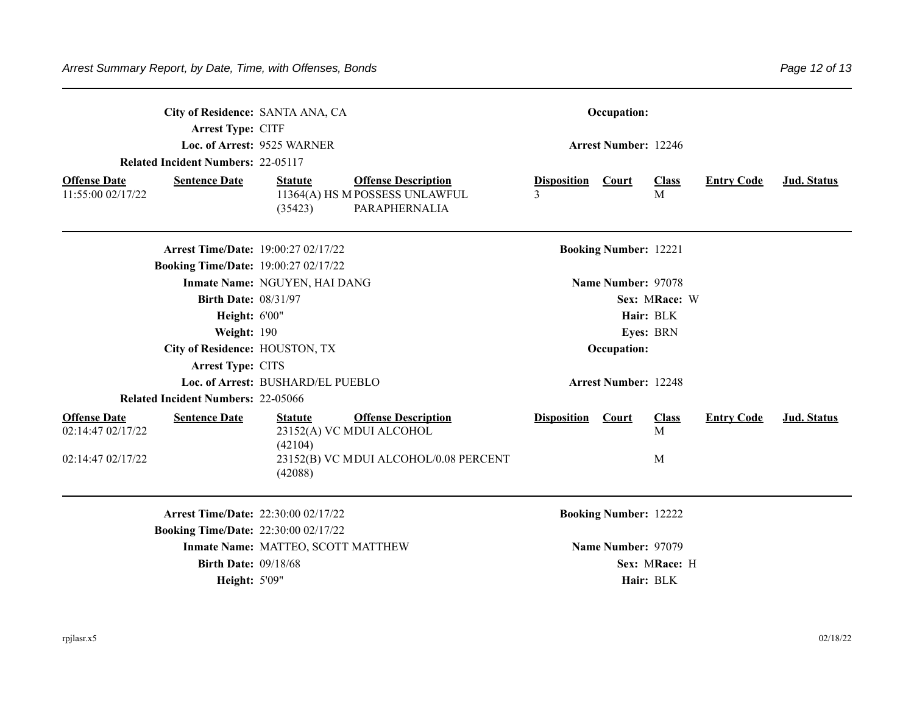| Arrest Type: CITF<br><b>Related Incident Numbers: 22-05117</b>   | City of Residence: SANTA ANA, CA<br>Loc. of Arrest: 9525 WARNER |                                                                               |                         | Occupation:<br><b>Arrest Number: 12246</b> |                   |                   |             |
|------------------------------------------------------------------|-----------------------------------------------------------------|-------------------------------------------------------------------------------|-------------------------|--------------------------------------------|-------------------|-------------------|-------------|
| <b>Offense Date</b><br><b>Sentence Date</b><br>11:55:00 02/17/22 | <b>Statute</b><br>(35423)                                       | <b>Offense Description</b><br>11364(A) HS M POSSESS UNLAWFUL<br>PARAPHERNALIA | <b>Disposition</b><br>3 | Court                                      | <b>Class</b><br>M | <b>Entry Code</b> | Jud. Status |
| <b>Booking Time/Date: 19:00:27 02/17/22</b>                      | <b>Arrest Time/Date: 19:00:27 02/17/22</b>                      |                                                                               |                         | <b>Booking Number: 12221</b>               |                   |                   |             |
|                                                                  | Inmate Name: NGUYEN, HAI DANG                                   |                                                                               |                         | Name Number: 97078                         |                   |                   |             |
| <b>Birth Date: 08/31/97</b>                                      |                                                                 |                                                                               |                         |                                            | Sex: MRace: W     |                   |             |
| Height: 6'00"                                                    |                                                                 |                                                                               |                         |                                            | Hair: BLK         |                   |             |
| Weight: 190                                                      |                                                                 |                                                                               |                         |                                            | Eyes: BRN         |                   |             |
| City of Residence: HOUSTON, TX                                   |                                                                 |                                                                               |                         | Occupation:                                |                   |                   |             |
| Arrest Type: CITS                                                |                                                                 |                                                                               |                         |                                            |                   |                   |             |
|                                                                  | Loc. of Arrest: BUSHARD/EL PUEBLO                               |                                                                               |                         | <b>Arrest Number: 12248</b>                |                   |                   |             |
| <b>Related Incident Numbers: 22-05066</b>                        |                                                                 |                                                                               |                         |                                            |                   |                   |             |
| <b>Offense Date</b><br><b>Sentence Date</b><br>02:14:47 02/17/22 | <b>Statute</b><br>(42104)                                       | <b>Offense Description</b><br>23152(A) VC MDUI ALCOHOL                        | <b>Disposition</b>      | <b>Court</b>                               | <b>Class</b><br>M | <b>Entry Code</b> | Jud. Status |
| 02:14:47 02/17/22                                                | (42088)                                                         | 23152(B) VC MDUI ALCOHOL/0.08 PERCENT                                         |                         |                                            | M                 |                   |             |
|                                                                  | <b>Arrest Time/Date: 22:30:00 02/17/22</b>                      |                                                                               |                         | <b>Booking Number: 12222</b>               |                   |                   |             |
| <b>Booking Time/Date: 22:30:00 02/17/22</b>                      |                                                                 |                                                                               |                         |                                            |                   |                   |             |
|                                                                  | Inmate Name: MATTEO, SCOTT MATTHEW                              |                                                                               |                         | Name Number: 97079                         |                   |                   |             |
| <b>Birth Date: 09/18/68</b>                                      |                                                                 |                                                                               |                         |                                            | Sex: MRace: H     |                   |             |
| <b>Height: 5'09"</b>                                             |                                                                 |                                                                               |                         |                                            | Hair: BLK         |                   |             |